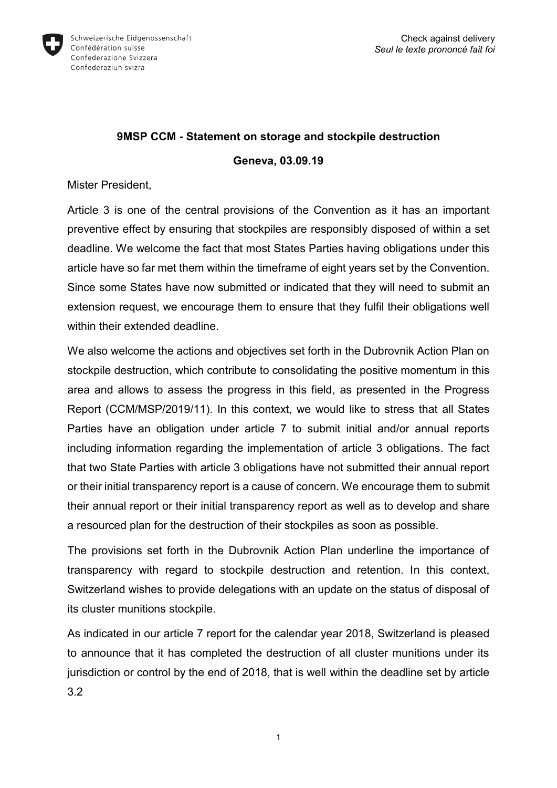

## **9MSP CCM - Statement on storage and stockpile destruction**

**Geneva, 03.09.19**

Mister President,

Article 3 is one of the central provisions of the Convention as it has an important preventive effect by ensuring that stockpiles are responsibly disposed of within a set deadline. We welcome the fact that most States Parties having obligations under this article have so far met them within the timeframe of eight years set by the Convention. Since some States have now submitted or indicated that they will need to submit an extension request, we encourage them to ensure that they fulfil their obligations well within their extended deadline.

We also welcome the actions and objectives set forth in the Dubrovnik Action Plan on stockpile destruction, which contribute to consolidating the positive momentum in this area and allows to assess the progress in this field, as presented in the Progress Report (CCM/MSP/2019/11). In this context, we would like to stress that all States Parties have an obligation under article 7 to submit initial and/or annual reports including information regarding the implementation of article 3 obligations. The fact that two State Parties with article 3 obligations have not submitted their annual report or their initial transparency report is a cause of concern. We encourage them to submit their annual report or their initial transparency report as well as to develop and share a resourced plan for the destruction of their stockpiles as soon as possible.

The provisions set forth in the Dubrovnik Action Plan underline the importance of transparency with regard to stockpile destruction and retention. In this context, Switzerland wishes to provide delegations with an update on the status of disposal of its cluster munitions stockpile.

As indicated in our article 7 report for the calendar year 2018, Switzerland is pleased to announce that it has completed the destruction of all cluster munitions under its jurisdiction or control by the end of 2018, that is well within the deadline set by article 3.2

1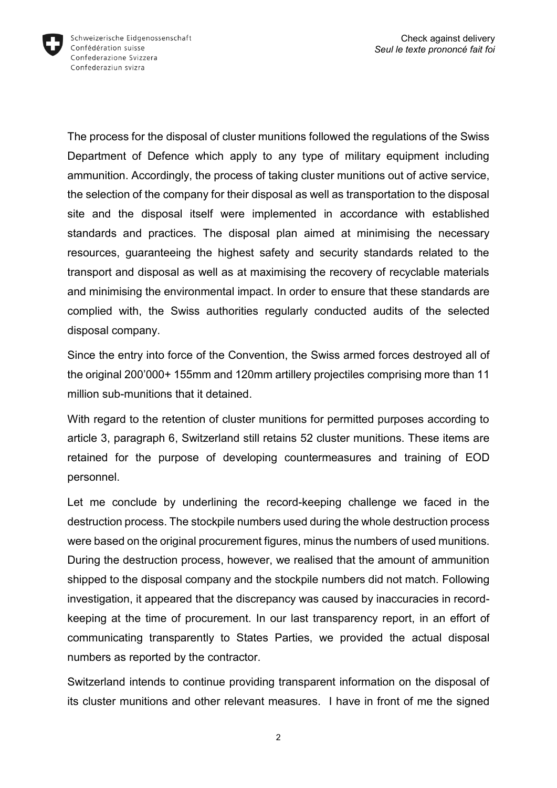

The process for the disposal of cluster munitions followed the regulations of the Swiss Department of Defence which apply to any type of military equipment including ammunition. Accordingly, the process of taking cluster munitions out of active service, the selection of the company for their disposal as well as transportation to the disposal site and the disposal itself were implemented in accordance with established standards and practices. The disposal plan aimed at minimising the necessary resources, guaranteeing the highest safety and security standards related to the transport and disposal as well as at maximising the recovery of recyclable materials and minimising the environmental impact. In order to ensure that these standards are complied with, the Swiss authorities regularly conducted audits of the selected disposal company.

Since the entry into force of the Convention, the Swiss armed forces destroyed all of the original 200'000+ 155mm and 120mm artillery projectiles comprising more than 11 million sub-munitions that it detained.

With regard to the retention of cluster munitions for permitted purposes according to article 3, paragraph 6, Switzerland still retains 52 cluster munitions. These items are retained for the purpose of developing countermeasures and training of EOD personnel.

Let me conclude by underlining the record-keeping challenge we faced in the destruction process. The stockpile numbers used during the whole destruction process were based on the original procurement figures, minus the numbers of used munitions. During the destruction process, however, we realised that the amount of ammunition shipped to the disposal company and the stockpile numbers did not match. Following investigation, it appeared that the discrepancy was caused by inaccuracies in recordkeeping at the time of procurement. In our last transparency report, in an effort of communicating transparently to States Parties, we provided the actual disposal numbers as reported by the contractor.

Switzerland intends to continue providing transparent information on the disposal of its cluster munitions and other relevant measures. I have in front of me the signed

2